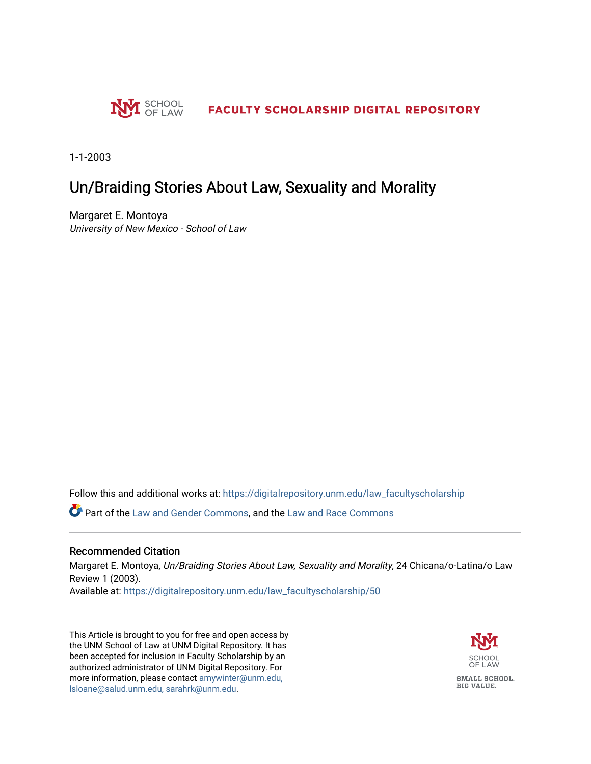

1-1-2003

## Un/Braiding Stories About Law, Sexuality and Morality

Margaret E. Montoya University of New Mexico - School of Law

Follow this and additional works at: [https://digitalrepository.unm.edu/law\\_facultyscholarship](https://digitalrepository.unm.edu/law_facultyscholarship?utm_source=digitalrepository.unm.edu%2Flaw_facultyscholarship%2F50&utm_medium=PDF&utm_campaign=PDFCoverPages) 

**P** Part of the [Law and Gender Commons,](http://network.bepress.com/hgg/discipline/1298?utm_source=digitalrepository.unm.edu%2Flaw_facultyscholarship%2F50&utm_medium=PDF&utm_campaign=PDFCoverPages) and the [Law and Race Commons](http://network.bepress.com/hgg/discipline/1300?utm_source=digitalrepository.unm.edu%2Flaw_facultyscholarship%2F50&utm_medium=PDF&utm_campaign=PDFCoverPages)

### Recommended Citation

Margaret E. Montoya, Un/Braiding Stories About Law, Sexuality and Morality, 24 Chicana/o-Latina/o Law Review 1 (2003).

Available at: [https://digitalrepository.unm.edu/law\\_facultyscholarship/50](https://digitalrepository.unm.edu/law_facultyscholarship/50?utm_source=digitalrepository.unm.edu%2Flaw_facultyscholarship%2F50&utm_medium=PDF&utm_campaign=PDFCoverPages)

This Article is brought to you for free and open access by the UNM School of Law at UNM Digital Repository. It has been accepted for inclusion in Faculty Scholarship by an authorized administrator of UNM Digital Repository. For more information, please contact [amywinter@unm.edu,](mailto:amywinter@unm.edu,%20lsloane@salud.unm.edu,%20sarahrk@unm.edu)  [lsloane@salud.unm.edu, sarahrk@unm.edu.](mailto:amywinter@unm.edu,%20lsloane@salud.unm.edu,%20sarahrk@unm.edu)

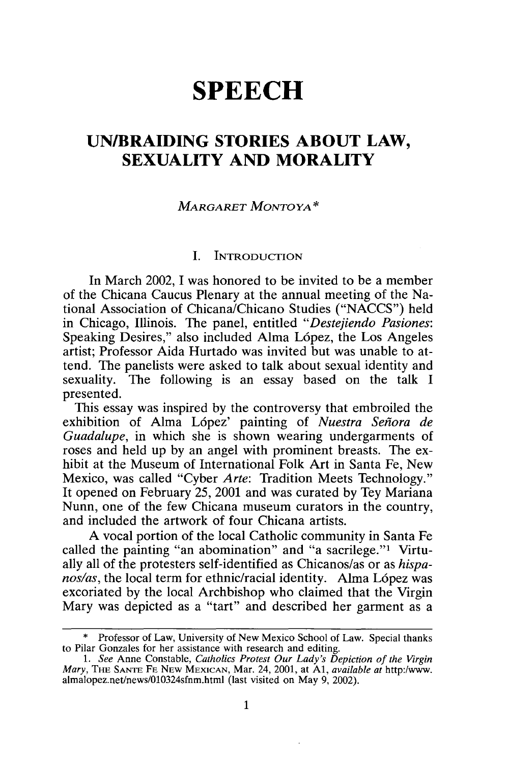# **SPEECH**

### **UN/BRAIDING STORIES ABOUT LAW, SEXUALITY AND MORALITY**

### *MARGARET MONTOYA\**

#### J. INTRODUCTION

In March 2002, I was honored to be invited to be a member of the Chicana Caucus Plenary at the annual meeting of the National Association of Chicana/Chicano Studies ("NACCS") held in Chicago, Illinois. The panel, entitled *"Destejiendo Pasiones:*  Speaking Desires," also included Alma López, the Los Angeles artist; Professor Aida Hurtado was invited but was unable to attend. The panelists were asked to talk about sexual identity and sexuality. The following is an essay based on the talk I presented.

This essay was inspired by the controversy that embroiled the exhibition of Alma Lopez' painting of *Nuestra Senora de Guadalupe,* in which she is shown wearing undergarments of roses and held up by an angel with prominent breasts. The exhibit at the Museum of International Folk Art in Santa Fe, New Mexico, was called "Cyber *Arte:* Tradition Meets Technology." It opened on February 25, 2001 and was curated by Tey Mariana Nunn, one of the few Chicana museum curators in the country, and included the artwork of four Chicana artists.

A vocal portion of the local Catholic community in Santa Fe called the painting "an abomination" and "a sacrilege."1 Virtually all of the protesters self-identified as Chicanos/as or as *hispanos/as*, the local term for ethnic/racial identity. Alma López was excoriated by the local Archbishop who claimed that the Virgin Mary was depicted as a "tart" and described her garment as a

<sup>\*</sup> Professor of Law, University of New Mexico School of Law. Special thanks to Pilar Gonzales for her assistance with research and editing.

<sup>1.</sup> *See* Anne Constable, *Catholics Protest Our Lady's Depiction of the Virgin Mary,* THE SANrE FE NEW MEXICAN, Mar. 24, 2001, at Al, *available at* http:/www. almalopez.net/news/010324sfnm.html (last visited on May 9, 2002).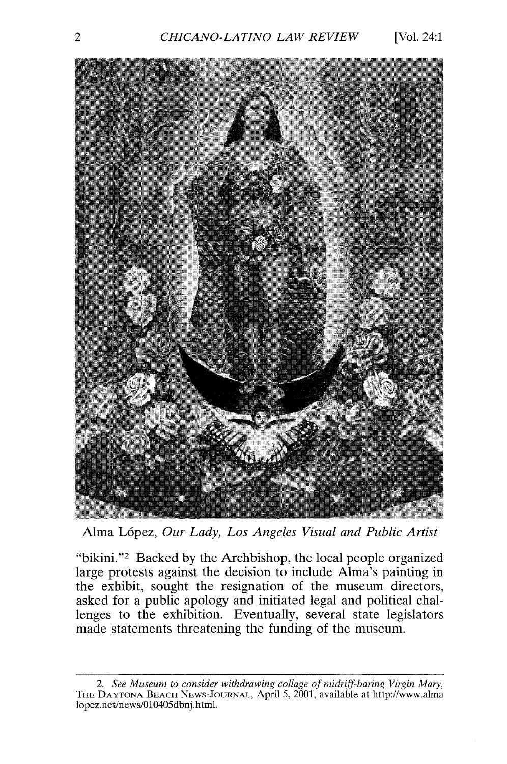

Alma Lopez, *Our Lady, Los Angeles Visual and Public Artist* 

"bikini."2 Backed by the Archbishop, the local people organized large protests against the decision to include Alma's painting in the exhibit, sought the resignation of the museum directors, asked for a public apology and initiated legal and political challenges to the exhibition. Eventually, several state legislators made statements threatening the funding of the museum.

<sup>2.</sup> *See Museum to consider withdrawing collage of midriff-baring Virgin Mary,*  THE DAYTONA BEACH NEWS-JOURNAL, April 5, 2001, available at http://www.alma lopez.net/news/010405dbnj.html.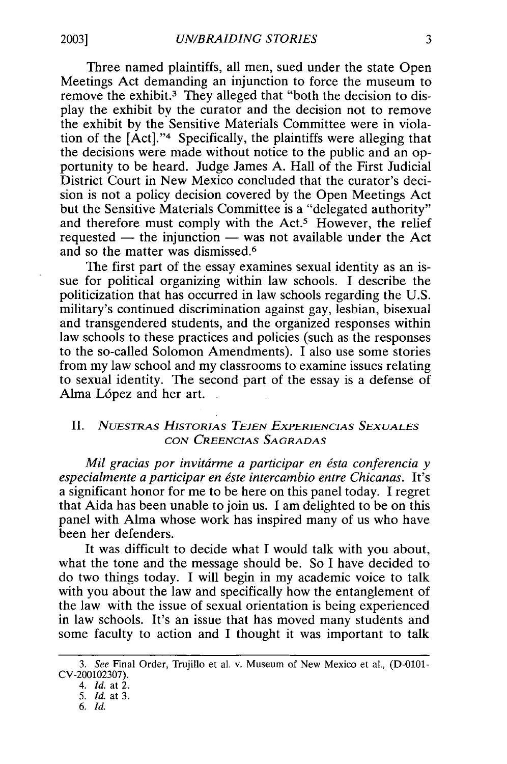Three named plaintiffs, all men, sued under the state Open Meetings Act demanding an injunction to force the museum to remove the exhibit.3 They alleged that "both the decision to display the exhibit by the curator and the decision not to remove the exhibit by the Sensitive Materials Committee were in violation of the [Act]."4 Specifically, the plaintiffs were alleging that the decisions were made without notice to the public and an opportunity to be heard. Judge James A. Hall of the First Judicial District Court in New Mexico concluded that the curator's decision is not a policy decision covered by the Open Meetings Act but the Sensitive Materials Committee is a "delegated authority" and therefore must comply with the Act.<sup>5</sup> However, the relief requested  $-$  the injunction  $-$  was not available under the Act and so the matter was dismissed.6

The first part of the essay examines sexual identity as an issue for political organizing within law schools. I describe the politicization that has occurred in law schools regarding the U.S. military's continued discrimination against gay, lesbian, bisexual and transgendered students, and the organized responses within law schools to these practices and policies (such as the responses to the so-called Solomon Amendments). I also use some stories from my law school and my classrooms to examine issues relating to sexual identity. The second part of the essay is a defense of Alma López and her art.

### II. *NuESTRAS H1sTORIAS TEJEN ExPERIENCIAS SEXUALES CON CREENCIAS SAGRADAS*

*Mil gracias por invitárme a participar en ésta conferencia y especialmente a participar en este intercambio entre Chicanas.* It's a significant honor for me to be here on this panel today. I regret that Aida has been unable to join us. I am delighted to be on this panel with Alma whose work has inspired many of us who have been her defenders.

It was difficult to decide what I would talk with you about, what the tone and the message should be. So I have decided to do two things today. I will begin in my academic voice to talk with you about the law and specifically how the entanglement of the law with the issue of sexual orientation is being experienced in law schools. It's an issue that has moved many students and some faculty to action and I thought it was important to talk

<sup>3.</sup> *See* Final Order, Trujillo et al. v. Museum of New Mexico et al., (D-0101- CV-200102307).

<sup>4.</sup> *Id.* at 2.

<sup>5.</sup> *Id.* at 3.

<sup>6.</sup> *Id.*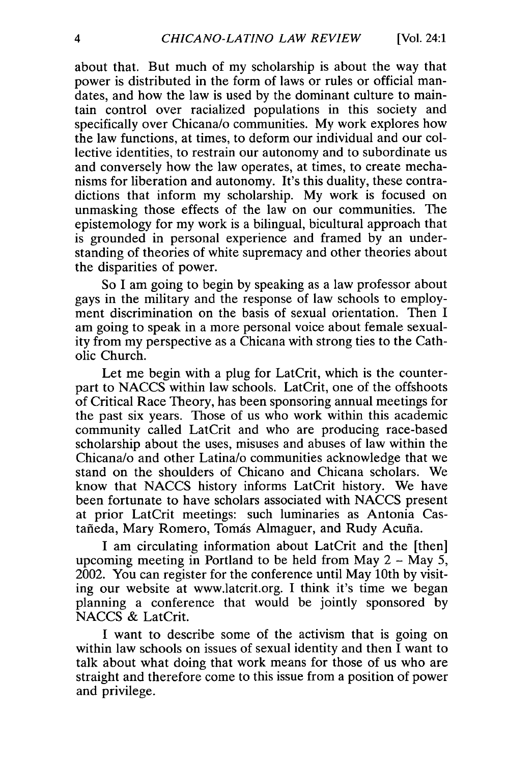about that. But much of my scholarship is about the way that power is distributed in the form of laws or rules or official mandates, and how the law is used by the dominant culture to maintain control over racialized populations in this society and specifically over Chicana/o communities. My work explores how the law functions, at times, to deform our individual and our collective identities, to restrain our autonomy and to subordinate us and conversely how the law operates, at times, to create mechanisms for liberation and autonomy. It's this duality, these contradictions that inform my scholarship. My work is focused on unmasking those effects of the law on our communities. The epistemology for my work is a bilingual, bicultural approach that is grounded in personal experience and framed by an understanding of theories of white supremacy and other theories about the disparities of power.

So I am going to begin by speaking as a law professor about gays in the military and the response of law schools to employment discrimination on the basis of sexual orientation. Then I am going to speak in a more personal voice about female sexuality from my perspective as a Chicana with strong ties to the Catholic Church.

Let me begin with a plug for LatCrit, which is the counterpart to NACCS within law schools. LatCrit, one of the offshoots of Critical Race Theory, has been sponsoring annual meetings for the past six years. Those of us who work within this academic community called LatCrit and who are producing race-based scholarship about the uses, misuses and abuses of law within the Chicana/o and other Latina/o communities acknowledge that we stand on the shoulders of Chicano and Chicana scholars. We know that NACCS history informs LatCrit history. We have been fortunate to have scholars associated with NACCS present at prior LatCrit meetings: such luminaries as Antonia Castañeda, Mary Romero, Tomás Almaguer, and Rudy Acuña.

I am circulating information about LatCrit and the [then] upcoming meeting in Portland to be held from May  $2 -$  May  $5$ , 2002. You can register for the conference until May 10th by visiting our website at www.latcrit.org. I think it's time we began planning a conference that would be jointly sponsored by NACCS & LatCrit.

I want to describe some of the activism that is going on within law schools on issues of sexual identity and then  $\overline{I}$  want to talk about what doing that work means for those of us who are straight and therefore come to this issue from a position of power and privilege.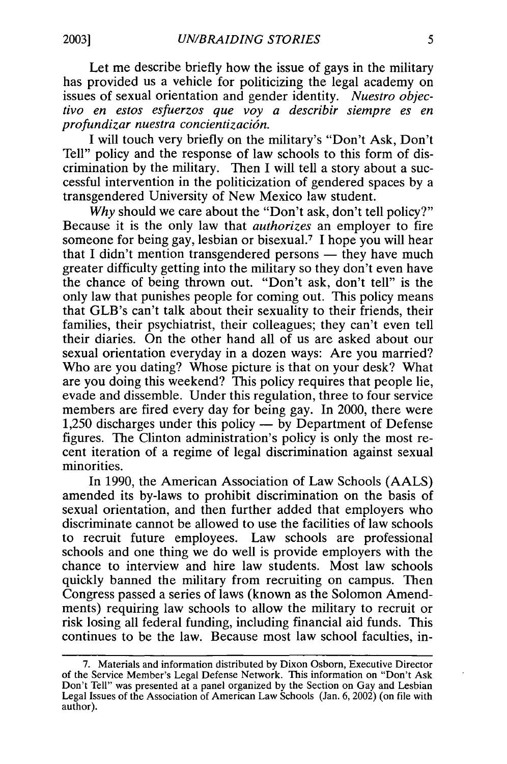Let me describe briefly how the issue of gays in the military has provided us a vehicle for politicizing the legal academy on issues of sexual orientation and gender identity. *Nuestro objectivo en estos esfuerzos que voy a describir siempre es en profundizar nuestra concientizaci6n.* 

I will touch very briefly on the rnilitary's "Don't Ask, Don't Tell" policy and the response of law schools to this form of discrimination by the military. Then I will tell a story about a successful intervention in the politicization of gendered spaces by a transgendered University of New Mexico law student.

Why should we care about the "Don't ask, don't tell policy?" Because it is the only law that *authorizes* an employer to fire someone for being gay, lesbian or bisexual.<sup>7</sup> I hope you will hear that I didn't mention transgendered persons  $-$  they have much greater difficulty getting into the military so they don't even have the chance of being thrown out. "Don't ask, don't tell" is the only law that punishes people for coming out. This policy means that GLB's can't talk about their sexuality to their friends, their families, their psychiatrist, their colleagues; they can't even tell their diaries. On the other hand all of us are asked about our sexual orientation everyday in a dozen ways: Are you married? Who are you dating? Whose picture is that on your desk? What are you doing this weekend? This policy requires that people lie, evade and dissemble. Under this regulation, three to four service members are fired every day for being gay. In 2000, there were 1,250 discharges under this policy — by Department of Defense figures. The Clinton administration's policy is only the most recent iteration of a regime of legal discrimination against sexual minorities.

In 1990, the American Association of Law Schools (AALS) amended its by-laws to prohibit discrimination on the basis of sexual orientation, and then further added that employers who discriminate cannot be allowed to use the facilities of law schools to recruit future employees. Law schools are professional schools and one thing we do well is provide employers with the chance to interview and hire law students. Most law schools quickly banned the military from recruiting on campus. Then Congress passed a series of laws (known as the Solomon Amendments) requiring law schools to allow the military to recruit or risk losing all federal funding, including financial aid funds. This continues to be the law. Because most law school faculties, in-

<sup>7.</sup> Materials and information distributed by Dixon Osborn, Executive Director of the Service Member's Legal Defense Network. This information on "Don't Ask Don't Tell" was presented at a panel organized by the Section on Gay and Lesbian Legal Issues of the Association of American Law Schools (Jan. 6, 2002) ( on file with author).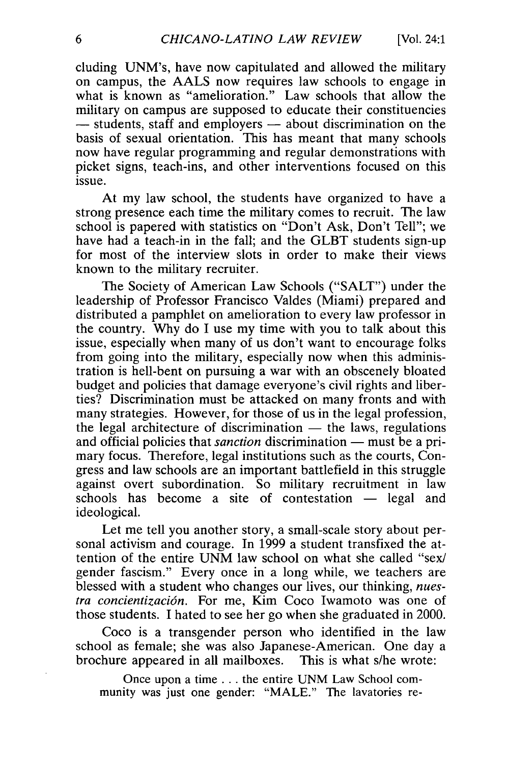eluding UNM's, have now capitulated and allowed the military on campus, the AALS now requires law schools to engage in what is known as "amelioration." Law schools that allow the military on campus are supposed to educate their constituencies  $-$  students, staff and employers  $-$  about discrimination on the basis of sexual orientation. This has meant that many schools now have regular programming and regular demonstrations with picket signs, teach-ins, and other interventions focused on this issue.

At my law school, the students have organized to have a strong presence each time the military comes to recruit. The law school is papered with statistics on "Don't Ask, Don't Tell"; we have had a teach-in in the fall; and the GLBT students sign-up for most of the interview slots in order to make their views known to the military recruiter.

The Society of American Law Schools ("SALT") under the leadership of Professor Francisco Valdes (Miami) prepared and distributed a pamphlet on amelioration to every law professor in the country. Why do I use my time with you to talk about this issue, especially when many of us don't want to encourage folks from going into the military, especially now when this administration is hell-bent on pursuing a war with an obscenely bloated budget and policies that damage everyone's civil rights and liberties? Discrimination must be attacked on many fronts and with many strategies. However, for those of us in the legal profession, the legal architecture of discrimination  $-$  the laws, regulations and official policies that *sanction* discrimination — must be a primary focus. Therefore, legal institutions such as the courts, Congress and law schools are an important battlefield in this struggle against overt subordination. So military recruitment in law  $schools$  has become a site of contestation  $-$  legal and ideological.

Let me tell you another story, a small-scale story about personal activism and courage. In 1999 a student transfixed the attention of the entire UNM law school on what she called "sex/ gender fascism." Every once in a long while, we teachers are blessed with a student who changes our lives, our thinking, *nuestra concientizaci6n.* For me, Kim Coco Iwamoto was one of those students. I hated to see her go when she graduated in 2000.

Coco is a transgender person who identified in the law school as female; she was also Japanese-American. One day a brochure appeared in all mailboxes. This is what s/he wrote:

Once upon a time ... the entire UNM Law School community was just one gender: "MALE." The lavatories re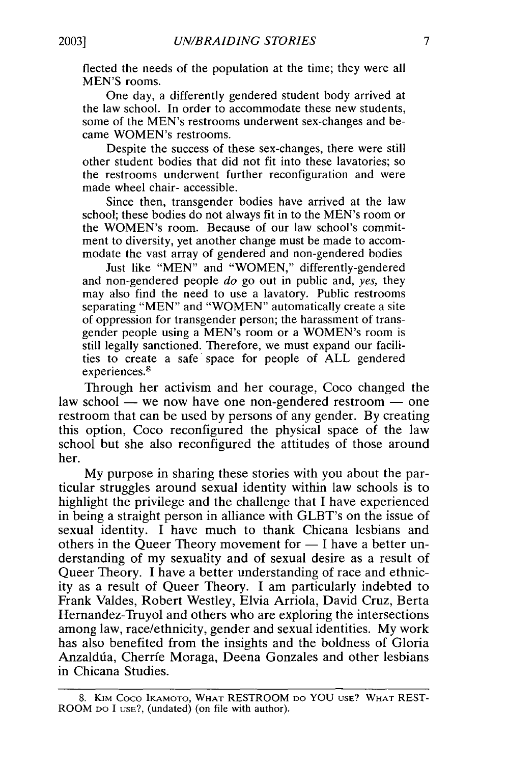flected the needs of the population at the time; they were all MEN'S rooms.

One day, a differently gendered student body arrived at the law school. In order to accommodate these new students, some of the MEN's restrooms underwent sex-changes and became WOMEN's restrooms.

Despite the success of these sex-changes, there were still other student bodies that did not fit into these lavatories; so the restrooms underwent further reconfiguration and were made wheel chair- accessible.

Since then, transgender bodies have arrived at the law school; these bodies do not always fit in to the MEN's room or the WOMEN's room. Because of our law school's commitment to diversity, yet another change must be made to accommodate the vast array of gendered and non-gendered bodies

Just like "MEN" and "WOMEN," differently-gendered and non-gendered people *do* go out in public and, *yes,* they may also find the need to use a lavatory. Public restrooms separating "MEN" and "WOMEN" automatically create a site of oppression for transgender person; the harassment of transgender people using a MEN's room or a WOMEN's room is still legally sanctioned. Therefore, we must expand our facilities to create a safe· space for people of ALL gendered experiences.<sup>8</sup>

Through her activism and her courage, Coco changed the law school  $-$  we now have one non-gendered restroom  $-$  one restroom that can be used by persons of any gender. By creating this option, Coco reconfigured the physical space of the law school but she also reconfigured the attitudes of those around her.

My purpose in sharing these stories with you about the particular struggles around sexual identity within law schools is to highlight the privilege and the challenge that I have experienced in being a straight person in alliance with GLBT's on the issue of sexual identity. I have much to thank Chicana lesbians and others in the Queer Theory movement for  $- I$  have a better understanding of my sexuality and of sexual desire as a result of Queer Theory. I have a better understanding of race and ethnicity as a result of Queer Theory. I am particularly indebted to Frank Valdes, Robert Westley, Elvia Arriola, David Cruz, Berta Hemandez-Truyol and others who are exploring the intersections among law, race/ethnicity, gender and sexual identities. My work has also benefited from the insights and the boldness of Gloria Anzaldúa, Cherríe Moraga, Deena Gonzales and other lesbians in Chicana Studies.

<sup>8.</sup> K1M Coco IKAMOTo, WHAT RESTROOM DO YOU usE? WHAT REST-ROOM DO I usE?, (undated) (on file with author).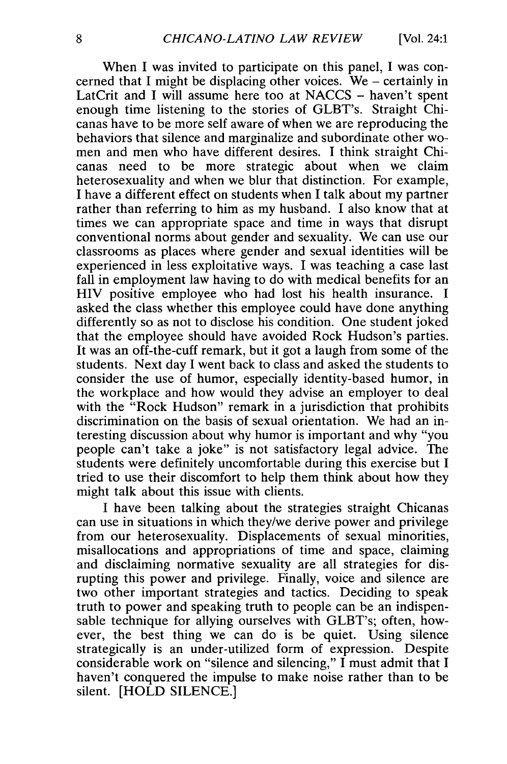When I was invited to participate on this panel, I was concerned that I might be displacing other voices. We - certainly in LatCrit and I will assume here too at NACCS - haven't spent enough time listening to the stories of GLBT's. Straight Chicanas have to be more self aware of when we are reproducing the behaviors that silence and marginalize and subordinate other women and men who have different desires. I think straight Chicanas need to be more strategic about when we claim heterosexuality and when we blur that distinction. For example, I have a different effect on students when I talk about my partner rather than referring to him as my husband. I also know that at times we can appropriate space and time in ways that disrupt conventional norms about gender and sexuality. We can use our classrooms as places where gender and sexual identities will be experienced in less exploitative ways. I was teaching a case last fall in employment law having to do with medical benefits for an HIV positive employee who had lost his health insurance. I asked the class whether this employee could have done anything differently so as not to disclose his condition. One student joked that the employee should have avoided Rock Hudson's parties. It was an off-the-cuff remark, but it got a laugh from some of the students. Next day I went back to class and asked the students to consider the use of humor, especially identity-based humor, in the workplace and how would they advise an employer to deal with the "Rock Hudson" remark in a jurisdiction that prohibits discrimination on the basis of sexual orientation. We had an interesting discussion about why humor is important and why "you people can't take a joke" is not satisfactory legal advice. The students were definitely uncomfortable during this exercise but I tried to use their discomfort to help them think about how they might talk about this issue with clients.

I have been talking about the strategies straight Chicanas can use in situations in which they/we derive power and privilege from our heterosexuality. Displacements of sexual minorities, misallocations and appropriations of time and space, claiming and disclaiming normative sexuality are all strategies for disrupting this power and privilege. Finally, voice and silence are two other important strategies and tactics. Deciding to speak truth to power and speaking truth to people can be an indispensable technique for allying ourselves with GLBT's; often, however, the best thing we can do is be quiet. Using silence strategically is an under-utilized form of expression. Despite considerable work on "silence and silencing," I must admit that I haven't conquered the impulse to make noise rather than to be silent. [HOLD SILENCE.]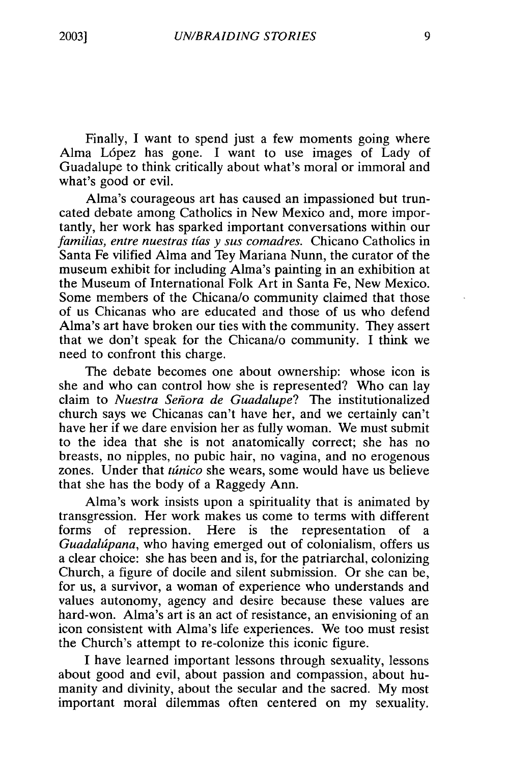Finally, I want to spend just a few moments going where Alma Lopez has gone. I want to use images of Lady of Guadalupe to think critically about what's moral or immoral and what's good or evil.

Alma's courageous art has caused an impassioned but truncated debate among Catholics in New Mexico and, more importantly, her work has sparked important conversations within our *familias, entre nuestras t[as* y *sus comadres.* Chicano Catholics in Santa Fe vilified Alma and Tey Mariana Nunn, the curator of the museum exhibit for including Alma's painting in an exhibition at the Museum of International Folk Art in Santa Fe, New Mexico. Some members of the Chicana/o community claimed that those of us Chicanas who are educated and those of us who defend Alma's art have broken our ties with the community. They assert that we don't speak for the Chicana/o community. I think we need to confront this charge.

The debate becomes one about ownership: whose icon is she and who can control how she is represented? Who can lay claim to *Nuestra Senora de Guadalupe?* The institutionalized church says we Chicanas can't have her, and we certainly can't have her if we dare envision her as fully woman. We must submit to the idea that she is not anatomically correct; she has no breasts, no nipples, no pubic hair, no vagina, and no erogenous zones. Under that *tunico* she wears, some would have us believe that she has the body of a Raggedy Ann.

Alma's work insists upon a spirituality that is animated by transgression. Her work makes us come to terms with different forms of repression. Here is the representation of a *Guadalupana,* who having emerged out of colonialism, offers us a clear choice: she has been and is, for the patriarchal, colonizing Church, a figure of docile and silent submission. Or she can be, for us, a survivor, a woman of experience who understands and values autonomy, agency and desire because these values are hard-won. Alma's art is an act of resistance, an envisioning of an icon consistent with Alma's life experiences. We too must resist the Church's attempt to re-colonize this iconic figure.

I have learned important lessons through sexuality, lessons about good and evil, about passion and compassion, about humanity and divinity, about the secular and the sacred. My most important moral dilemmas often centered on my sexuality.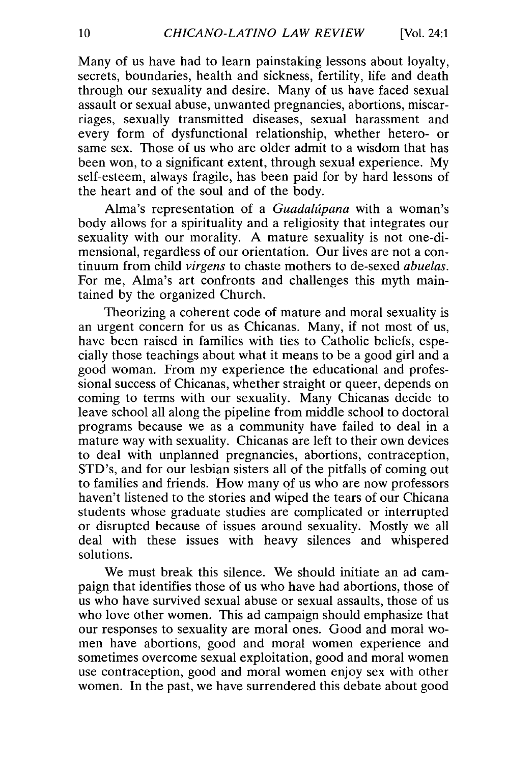Many of us have had to learn painstaking lessons about loyalty, secrets, boundaries, health and sickness, fertility, life and death through our sexuality and desire. Many of us have faced sexual assault or sexual abuse, unwanted pregnancies, abortions, miscarriages, sexually transmitted diseases, sexual harassment and every form of dysfunctional relationship, whether hetero- or same sex. Those of us who are older admit to a wisdom that has been won, to a significant extent, through sexual experience. My self-esteem, always fragile, has been paid for by hard lessons of the heart and of the soul and of the body.

Alma's representation of a *Guadalupana* with a woman's body allows for a spirituality and a religiosity that integrates our sexuality with our morality. A mature sexuality is not one-dimensional, regardless of our orientation. Our lives are not a continuum from child *virgens* to chaste mothers to de-sexed *abuelas.*  For me, Alma's art confronts and challenges this myth maintained by the organized Church.

Theorizing a coherent code of mature and moral sexuality is an urgent concern for us as Chicanas. Many, if not most of us, have been raised in families with ties to Catholic beliefs, especially those teachings about what it means to be a good girl and a good woman. From my experience the educational and professional success of Chicanas, whether straight or queer, depends on coming to terms with our sexuality. Many Chicanas decide to leave school all along the pipeline from middle school to doctoral programs because we as a community have failed to deal in a mature way with sexuality. Chicanas are left to their own devices to deal with unplanned pregnancies, abortions, contraception, STD's, and for our lesbian sisters all of the pitfalls of coming out to families and friends. How many qf us who are now professors haven't listened to the stories and wiped the tears of our Chicana students whose graduate studies are complicated or interrupted or disrupted because of issues around sexuality. Mostly we all deal with these issues with heavy silences and whispered solutions.

We must break this silence. We should initiate an ad campaign that identifies those of us who have had abortions, those of us who have survived sexual abuse or sexual assaults, those of us who love other women. This ad campaign should emphasize that our responses to sexuality are moral ones. Good and moral women have abortions, good and moral women experience and sometimes overcome sexual exploitation, good and moral women use contraception, good and moral women enjoy sex with other women. In the past, we have surrendered this debate about good